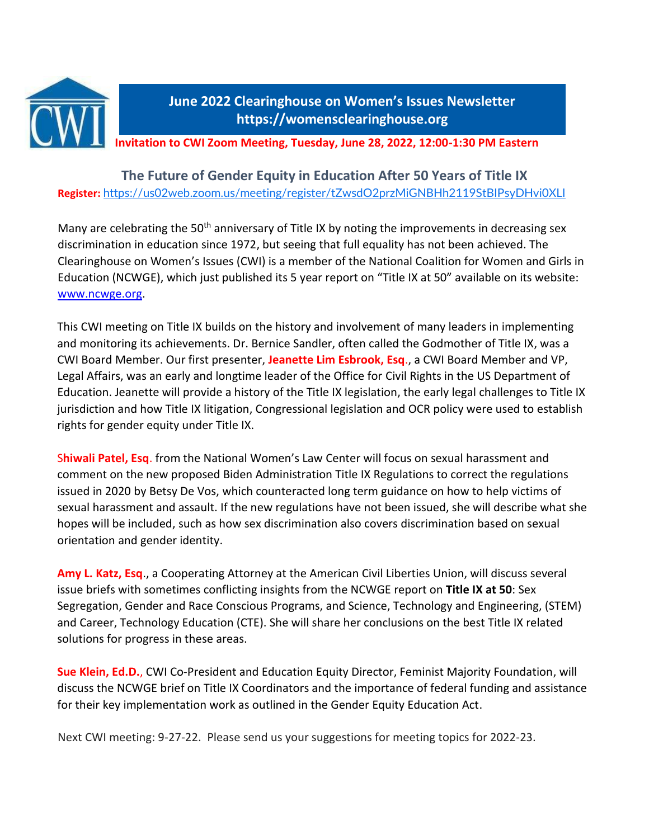

# **June 2022 Clearinghouse on Women's Issues Newsletter https://womensclearinghouse.org**

**Invitation to CWI Zoom Meeting, Tuesday, June 28, 2022, 12:00-1:30 PM Eastern**

# **The Future of Gender Equity in Education After 50 Years of Title IX Register:** <https://us02web.zoom.us/meeting/register/tZwsdO2przMiGNBHh2119StBIPsyDHvi0XLI>

Many are celebrating the 50<sup>th</sup> anniversary of Title IX by noting the improvements in decreasing sex discrimination in education since 1972, but seeing that full equality has not been achieved. The Clearinghouse on Women's Issues (CWI) is a member of the National Coalition for Women and Girls in Education (NCWGE), which just published its 5 year report on "Title IX at 50" available on its website: [www.ncwge.org.](http://www.ncwge.org/)

This CWI meeting on Title IX builds on the history and involvement of many leaders in implementing and monitoring its achievements. Dr. Bernice Sandler, often called the Godmother of Title IX, was a CWI Board Member. Our first presenter, **Jeanette Lim Esbrook, Esq**., a CWI Board Member and VP, Legal Affairs, was an early and longtime leader of the Office for Civil Rights in the US Department of Education. Jeanette will provide a history of the Title IX legislation, the early legal challenges to Title IX jurisdiction and how Title IX litigation, Congressional legislation and OCR policy were used to establish rights for gender equity under Title IX.

S**hiwali Patel, Esq**. from the National Women's Law Center will focus on sexual harassment and comment on the new proposed Biden Administration Title IX Regulations to correct the regulations issued in 2020 by Betsy De Vos, which counteracted long term guidance on how to help victims of sexual harassment and assault. If the new regulations have not been issued, she will describe what she hopes will be included, such as how sex discrimination also covers discrimination based on sexual orientation and gender identity.

**Amy L. Katz, Esq**., a Cooperating Attorney at the American Civil Liberties Union, will discuss several issue briefs with sometimes conflicting insights from the NCWGE report on **Title IX at 50**: Sex Segregation, Gender and Race Conscious Programs, and Science, Technology and Engineering, (STEM) and Career, Technology Education (CTE). She will share her conclusions on the best Title IX related solutions for progress in these areas.

**Sue Klein, Ed.D.**, CWI Co-President and Education Equity Director, Feminist Majority Foundation, will discuss the NCWGE brief on Title IX Coordinators and the importance of federal funding and assistance for their key implementation work as outlined in the Gender Equity Education Act.

Next CWI meeting: 9-27-22. Please send us your suggestions for meeting topics for 2022-23.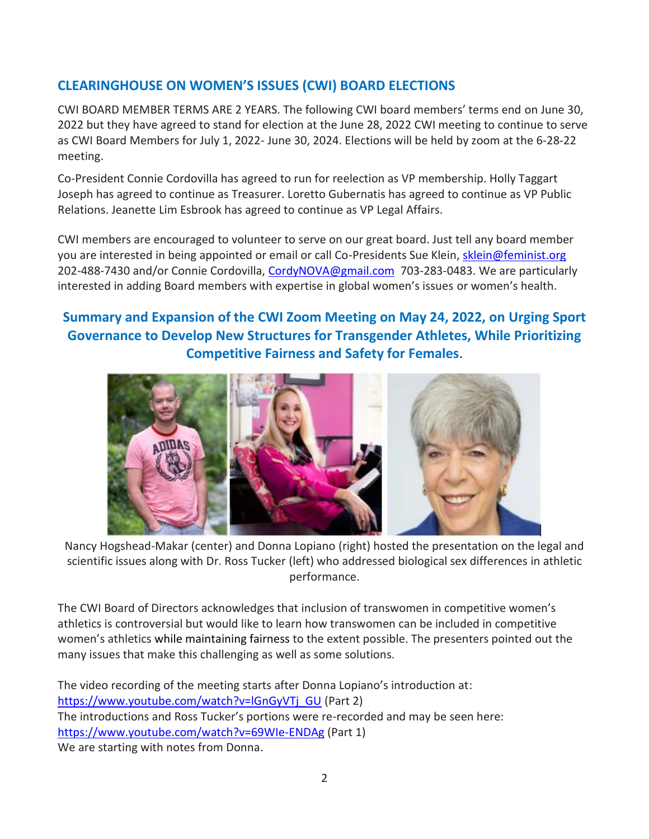# **CLEARINGHOUSE ON WOMEN'S ISSUES (CWI) BOARD ELECTIONS**

CWI BOARD MEMBER TERMS ARE 2 YEARS. The following CWI board members' terms end on June 30, 2022 but they have agreed to stand for election at the June 28, 2022 CWI meeting to continue to serve as CWI Board Members for July 1, 2022- June 30, 2024. Elections will be held by zoom at the 6-28-22 meeting.

Co-President Connie Cordovilla has agreed to run for reelection as VP membership. Holly Taggart Joseph has agreed to continue as Treasurer. Loretto Gubernatis has agreed to continue as VP Public Relations. Jeanette Lim Esbrook has agreed to continue as VP Legal Affairs.

CWI members are encouraged to volunteer to serve on our great board. Just tell any board member you are interested in being appointed or email or call Co-Presidents Sue Klein, [sklein@feminist.org](mailto:sklein@feminist.org) 202-488-7430 and/or Connie Cordovilla, [CordyNOVA@gmail.com](mailto:CordyNOVA@gmail.com) 703-283-0483. We are particularly interested in adding Board members with expertise in global women's issues or women's health.

# **Summary and Expansion of the CWI Zoom Meeting on May 24, 2022, on Urging Sport Governance to Develop New Structures for Transgender Athletes, While Prioritizing Competitive Fairness and Safety for Females**.



Nancy Hogshead-Makar (center) and Donna Lopiano (right) hosted the presentation on the legal and scientific issues along with Dr. Ross Tucker (left) who addressed biological sex differences in athletic performance.

The CWI Board of Directors acknowledges that inclusion of transwomen in competitive women's athletics is controversial but would like to learn how transwomen can be included in competitive women's athletics while maintaining fairness to the extent possible. The presenters pointed out the many issues that make this challenging as well as some solutions.

The video recording of the meeting starts after Donna Lopiano's introduction at: [https://www.youtube.com/watch?v=lGnGyVTj\\_GU](https://www.youtube.com/watch?v=lGnGyVTj_GU) (Part 2) The introductions and Ross Tucker's portions were re-recorded and may be seen here: <https://www.youtube.com/watch?v=69WIe-ENDAg> (Part 1) We are starting with notes from Donna.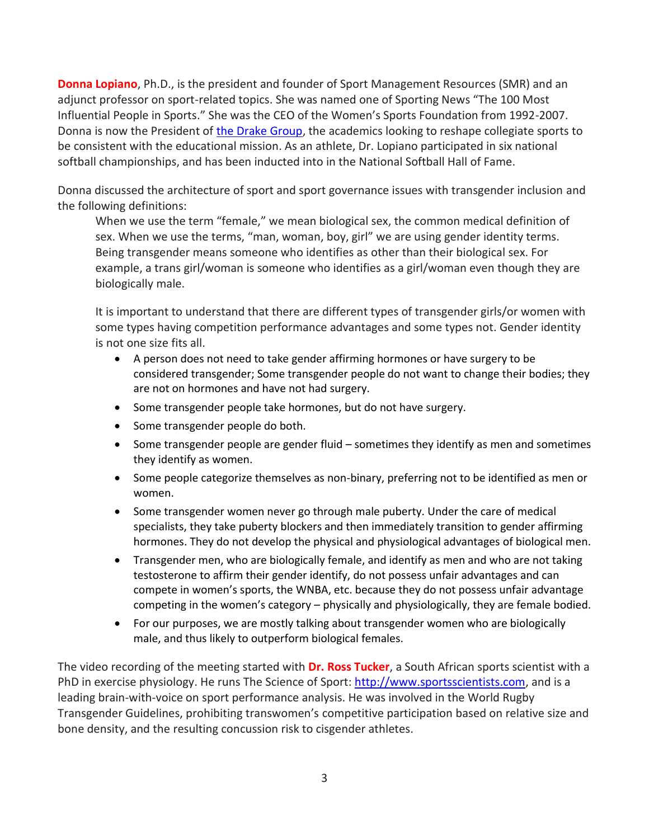**Donna Lopiano**, Ph.D., is the president and founder of Sport Management Resources (SMR) and an adjunct professor on sport-related topics. She was named one of Sporting News "The 100 Most Influential People in Sports." She was the CEO of the Women's Sports Foundation from 1992-2007. Donna is now the President of [the Drake Group,](https://www.thedrakegroup.org/tell-congress/) the academics looking to reshape collegiate sports to be consistent with the educational mission. As an athlete, Dr. Lopiano participated in six national softball championships, and has been inducted into in the National Softball Hall of Fame.

Donna discussed the architecture of sport and sport governance issues with transgender inclusion and the following definitions:

When we use the term "female," we mean biological sex, the common medical definition of sex. When we use the terms, "man, woman, boy, girl" we are using gender identity terms. Being transgender means someone who identifies as other than their biological sex. For example, a trans girl/woman is someone who identifies as a girl/woman even though they are biologically male.

It is important to understand that there are different types of transgender girls/or women with some types having competition performance advantages and some types not. Gender identity is not one size fits all.

- A person does not need to take gender affirming hormones or have surgery to be considered transgender; Some transgender people do not want to change their bodies; they are not on hormones and have not had surgery.
- Some transgender people take hormones, but do not have surgery.
- Some transgender people do both.
- Some transgender people are gender fluid sometimes they identify as men and sometimes they identify as women.
- Some people categorize themselves as non-binary, preferring not to be identified as men or women.
- Some transgender women never go through male puberty. Under the care of medical specialists, they take puberty blockers and then immediately transition to gender affirming hormones. They do not develop the physical and physiological advantages of biological men.
- Transgender men, who are biologically female, and identify as men and who are not taking testosterone to affirm their gender identify, do not possess unfair advantages and can compete in women's sports, the WNBA, etc. because they do not possess unfair advantage competing in the women's category – physically and physiologically, they are female bodied.
- For our purposes, we are mostly talking about transgender women who are biologically male, and thus likely to outperform biological females.

The video recording of the meeting started with **Dr. Ross Tucker**, a South African sports scientist with a PhD in exercise physiology. He runs The Science of Sport: [http://www.sportsscientists.com,](http://www.sportsscientists.comt/) and is a leading brain-with-voice on sport performance analysis. He was involved in the World Rugby Transgender Guidelines, prohibiting transwomen's competitive participation based on relative size and bone density, and the resulting concussion risk to cisgender athletes.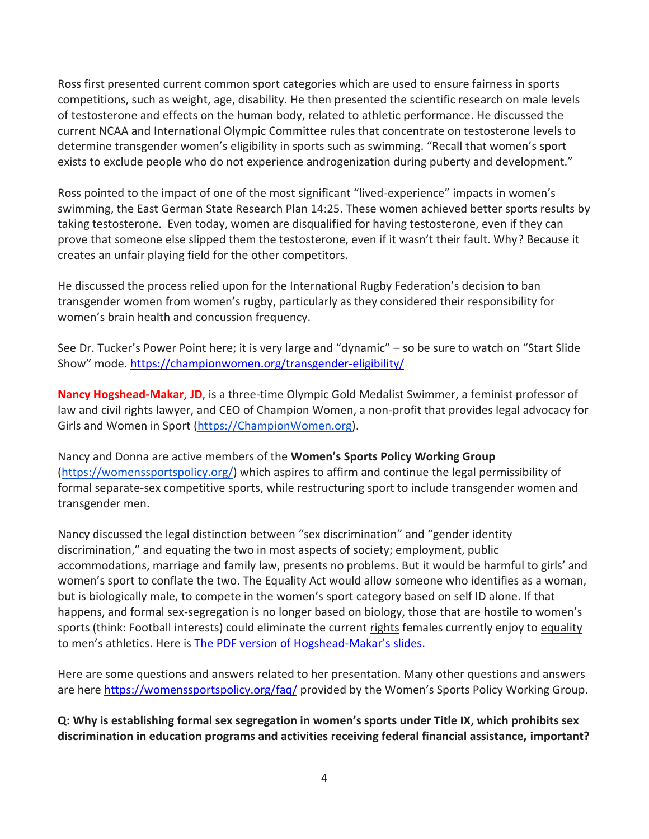Ross first presented current common sport categories which are used to ensure fairness in sports competitions, such as weight, age, disability. He then presented the scientific research on male levels of testosterone and effects on the human body, related to athletic performance. He discussed the current NCAA and International Olympic Committee rules that concentrate on testosterone levels to determine transgender women's eligibility in sports such as swimming. "Recall that women's sport exists to exclude people who do not experience androgenization during puberty and development."

Ross pointed to the impact of one of the most significant "lived-experience" impacts in women's swimming, the East German State Research Plan 14:25. These women achieved better sports results by taking testosterone. Even today, women are disqualified for having testosterone, even if they can prove that someone else slipped them the testosterone, even if it wasn't their fault. Why? Because it creates an unfair playing field for the other competitors.

He discussed the process relied upon for the International Rugby Federation's decision to ban transgender women from women's rugby, particularly as they considered their responsibility for women's brain health and concussion frequency.

See Dr. Tucker's Power Point here; it is very large and "dynamic" – so be sure to watch on "Start Slide Show" mode. <https://championwomen.org/transgender-eligibility/>

**Nancy Hogshead-Makar, JD**, is a three-time Olympic Gold Medalist Swimmer, a feminist professor of law and civil rights lawyer, and CEO of Champion Women, a non-profit that provides legal advocacy for Girls and Women in Sport [\(https://ChampionWomen.org\)](https://championwomen.org/).

Nancy and Donna are active members of the **Women's Sports Policy Working Group** [\(https://womenssportspolicy.org/\)](https://womenssportspolicy.org/) which aspires to affirm and continue the legal permissibility of formal separate-sex competitive sports, while restructuring sport to include transgender women and transgender men.

Nancy discussed the legal distinction between "sex discrimination" and "gender identity discrimination," and equating the two in most aspects of society; employment, public accommodations, marriage and family law, presents no problems. But it would be harmful to girls' and women's sport to conflate the two. The Equality Act would allow someone who identifies as a woman, but is biologically male, to compete in the women's sport category based on self ID alone. If that happens, and formal sex-segregation is no longer based on biology, those that are hostile to women's sports (think: Football interests) could eliminate the current rights females currently enjoy to equality to men's athletics. Here is [The PDF version of Hogshead-](https://womensclearinghouse.org/wp-content/uploads/CWI-Transgender-Inclusion-LAW-Hogshead-Makar-5-2022.pdf)Makar's slides.

Here are some questions and answers related to her presentation. Many other questions and answers are here<https://womenssportspolicy.org/faq/> provided by the Women's Sports Policy Working Group.

**Q: Why is establishing formal sex segregation in women's sports under Title IX, which prohibits sex discrimination in education programs and activities receiving federal financial assistance, important?**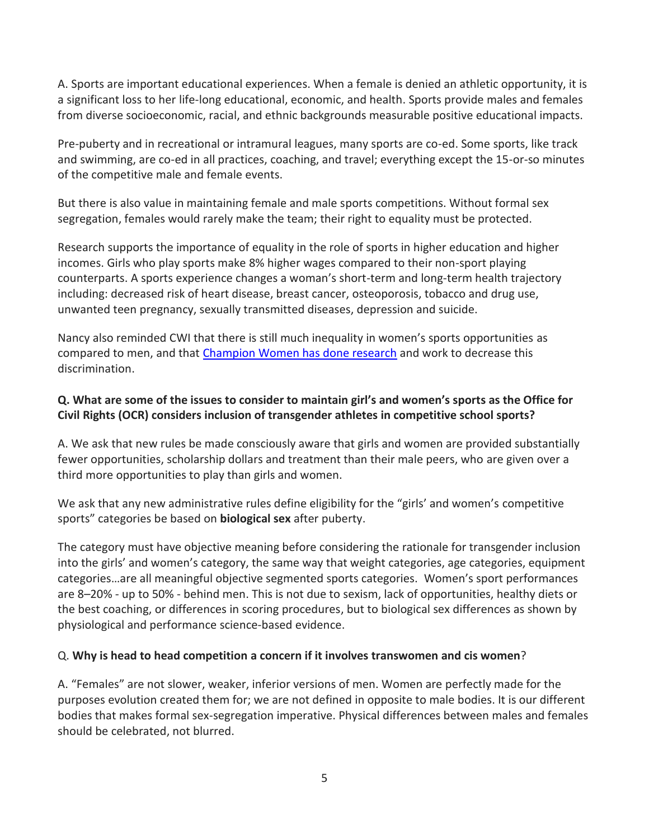A. Sports are important educational experiences. When a female is denied an athletic opportunity, it is a significant loss to her life-long educational, economic, and health. Sports provide males and females from diverse socioeconomic, racial, and ethnic backgrounds measurable positive educational impacts.

Pre-puberty and in recreational or intramural leagues, many sports are co-ed. Some sports, like track and swimming, are co-ed in all practices, coaching, and travel; everything except the 15-or-so minutes of the competitive male and female events.

But there is also value in maintaining female and male sports competitions. Without formal sex segregation, females would rarely make the team; their right to equality must be protected.

Research supports the importance of equality in the role of sports in higher education and higher incomes. Girls who play sports make 8% higher wages compared to their non-sport playing counterparts. A sports experience changes a woman's short-term and long-term health trajectory including: decreased risk of heart disease, breast cancer, osteoporosis, tobacco and drug use, unwanted teen pregnancy, sexually transmitted diseases, depression and suicide.

Nancy also reminded CWI that there is still much inequality in women's sports opportunities as compared to men, and that [Champion Women has done research](https://titleixschools.com/2022/01/23/eada-data/) and work to decrease this discrimination.

### **Q. What are some of the issues to consider to maintain girl's and women's sports as the Office for Civil Rights (OCR) considers inclusion of transgender athletes in competitive school sports?**

A. We ask that new rules be made consciously aware that girls and women are provided substantially fewer opportunities, scholarship dollars and treatment than their male peers, who are given over a third more opportunities to play than girls and women.

We ask that any new administrative rules define eligibility for the "girls' and women's competitive sports" categories be based on **biological sex** after puberty.

The category must have objective meaning before considering the rationale for transgender inclusion into the girls' and women's category, the same way that weight categories, age categories, equipment categories…are all meaningful objective segmented sports categories. Women's sport performances are 8–20% - up to 50% - behind men. This is not due to sexism, lack of opportunities, healthy diets or the best coaching, or differences in scoring procedures, but to biological sex differences as shown by physiological and performance science-based evidence.

#### Q. **Why is head to head competition a concern if it involves transwomen and cis women**?

A. "Females" are not slower, weaker, inferior versions of men. Women are perfectly made for the purposes evolution created them for; we are not defined in opposite to male bodies. It is our different bodies that makes formal sex-segregation imperative. Physical differences between males and females should be celebrated, not blurred.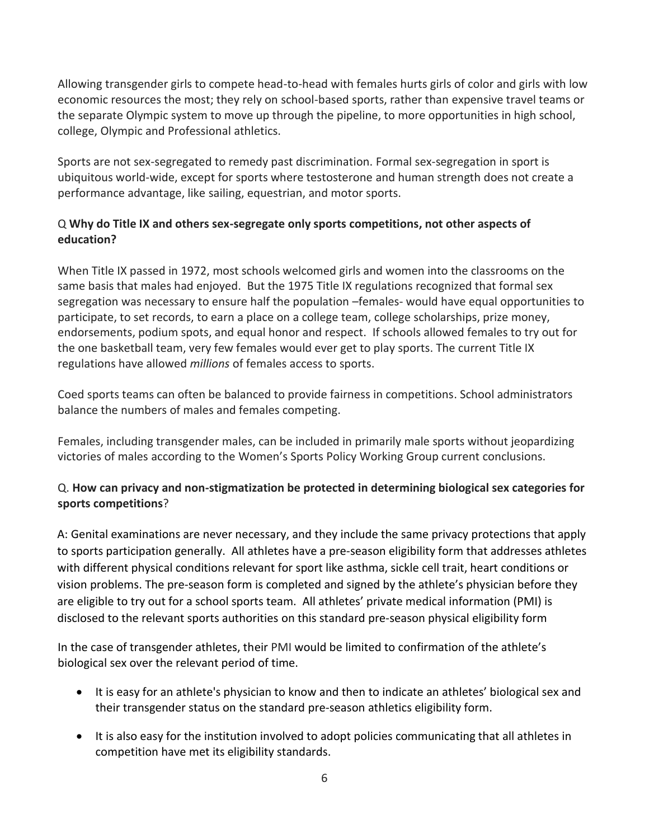Allowing transgender girls to compete head-to-head with females hurts girls of color and girls with low economic resources the most; they rely on school-based sports, rather than expensive travel teams or the separate Olympic system to move up through the pipeline, to more opportunities in high school, college, Olympic and Professional athletics.

Sports are not sex-segregated to remedy past discrimination. Formal sex-segregation in sport is ubiquitous world-wide, except for sports where testosterone and human strength does not create a performance advantage, like sailing, equestrian, and motor sports.

## Q **Why do Title IX and others sex-segregate only sports competitions, not other aspects of education?**

When Title IX passed in 1972, most schools welcomed girls and women into the classrooms on the same basis that males had enjoyed. But the 1975 Title IX regulations recognized that formal sex segregation was necessary to ensure half the population –females- would have equal opportunities to participate, to set records, to earn a place on a college team, college scholarships, prize money, endorsements, podium spots, and equal honor and respect. If schools allowed females to try out for the one basketball team, very few females would ever get to play sports. The current Title IX regulations have allowed *millions* of females access to sports.

Coed sports teams can often be balanced to provide fairness in competitions. School administrators balance the numbers of males and females competing.

Females, including transgender males, can be included in primarily male sports without jeopardizing victories of males according to the Women's Sports Policy Working Group current conclusions.

## Q. **How can privacy and non-stigmatization be protected in determining biological sex categories for sports competitions**?

A: Genital examinations are never necessary, and they include the same privacy protections that apply to sports participation generally. All athletes have a pre-season eligibility form that addresses athletes with different physical conditions relevant for sport like asthma, sickle cell trait, heart conditions or vision problems. The pre-season form is completed and signed by the athlete's physician before they are eligible to try out for a school sports team. All athletes' private medical information (PMI) is disclosed to the relevant sports authorities on this standard pre-season physical eligibility form

In the case of transgender athletes, their PMI would be limited to confirmation of the athlete's biological sex over the relevant period of time.

- It is easy for an athlete's physician to know and then to indicate an athletes' biological sex and their transgender status on the standard pre-season athletics eligibility form.
- It is also easy for the institution involved to adopt policies communicating that all athletes in competition have met its eligibility standards.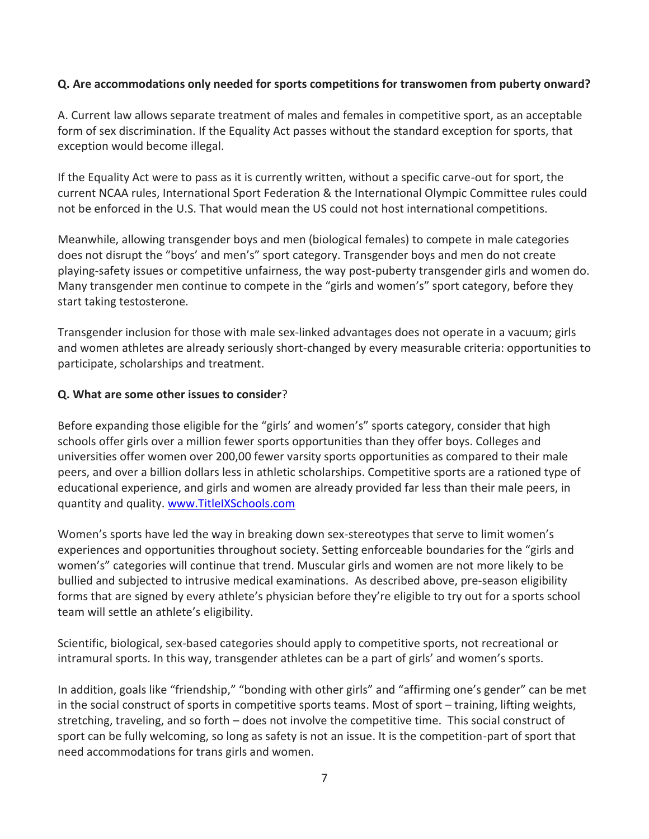#### **Q. Are accommodations only needed for sports competitions for transwomen from puberty onward?**

A. Current law allows separate treatment of males and females in competitive sport, as an acceptable form of sex discrimination. If the Equality Act passes without the standard exception for sports, that exception would become illegal.

If the Equality Act were to pass as it is currently written, without a specific carve-out for sport, the current NCAA rules, International Sport Federation & the International Olympic Committee rules could not be enforced in the U.S. That would mean the US could not host international competitions.

Meanwhile, allowing transgender boys and men (biological females) to compete in male categories does not disrupt the "boys' and men's" sport category. Transgender boys and men do not create playing-safety issues or competitive unfairness, the way post-puberty transgender girls and women do. Many transgender men continue to compete in the "girls and women's" sport category, before they start taking testosterone.

Transgender inclusion for those with male sex-linked advantages does not operate in a vacuum; girls and women athletes are already seriously short-changed by every measurable criteria: opportunities to participate, scholarships and treatment.

#### **Q. What are some other issues to consider**?

Before expanding those eligible for the "girls' and women's" sports category, consider that high schools offer girls over a million fewer sports opportunities than they offer boys. Colleges and universities offer women over 200,00 fewer varsity sports opportunities as compared to their male peers, and over a billion dollars less in athletic scholarships. Competitive sports are a rationed type of educational experience, and girls and women are already provided far less than their male peers, in quantity and quality. [www.TitleIXSchools.com](http://www.titleixschools.com/)

Women's sports have led the way in breaking down sex-stereotypes that serve to limit women's experiences and opportunities throughout society. Setting enforceable boundaries for the "girls and women's" categories will continue that trend. Muscular girls and women are not more likely to be bullied and subjected to intrusive medical examinations. As described above, pre-season eligibility forms that are signed by every athlete's physician before they're eligible to try out for a sports school team will settle an athlete's eligibility.

Scientific, biological, sex-based categories should apply to competitive sports, not recreational or intramural sports. In this way, transgender athletes can be a part of girls' and women's sports.

In addition, goals like "friendship," "bonding with other girls" and "affirming one's gender" can be met in the social construct of sports in competitive sports teams. Most of sport – training, lifting weights, stretching, traveling, and so forth – does not involve the competitive time. This social construct of sport can be fully welcoming, so long as safety is not an issue. It is the competition-part of sport that need accommodations for trans girls and women.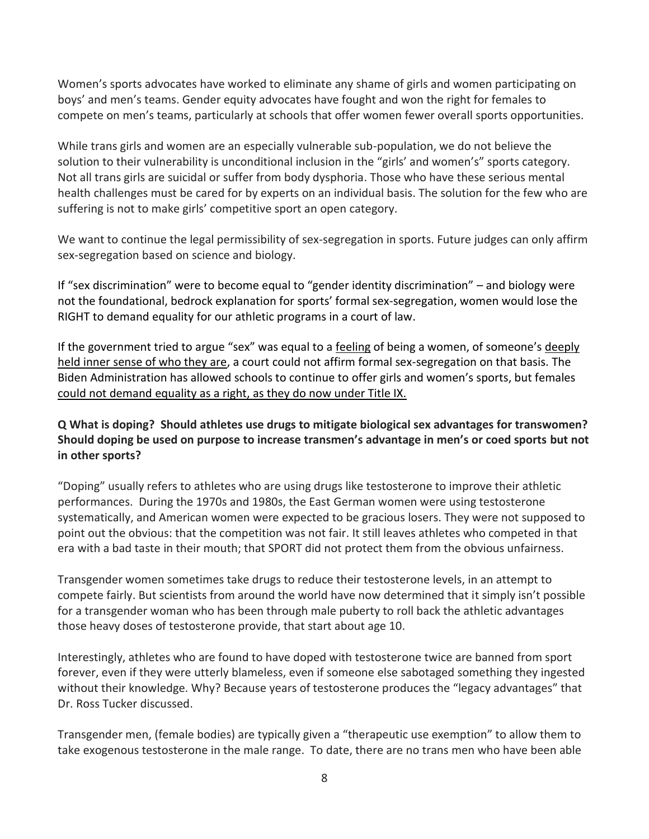Women's sports advocates have worked to eliminate any shame of girls and women participating on boys' and men's teams. Gender equity advocates have fought and won the right for females to compete on men's teams, particularly at schools that offer women fewer overall sports opportunities.

While trans girls and women are an especially vulnerable sub-population, we do not believe the solution to their vulnerability is unconditional inclusion in the "girls' and women's" sports category. Not all trans girls are suicidal or suffer from body dysphoria. Those who have these serious mental health challenges must be cared for by experts on an individual basis. The solution for the few who are suffering is not to make girls' competitive sport an open category.

We want to continue the legal permissibility of sex-segregation in sports. Future judges can only affirm sex-segregation based on science and biology.

If "sex discrimination" were to become equal to "gender identity discrimination" – and biology were not the foundational, bedrock explanation for sports' formal sex-segregation, women would lose the RIGHT to demand equality for our athletic programs in a court of law.

If the government tried to argue "sex" was equal to a feeling of being a women, of someone's deeply held inner sense of who they are, a court could not affirm formal sex-segregation on that basis. The Biden Administration has allowed schools to continue to offer girls and women's sports, but females could not demand equality as a right, as they do now under Title IX.

## **Q What is doping? Should athletes use drugs to mitigate biological sex advantages for transwomen? Should doping be used on purpose to increase transmen's advantage in men's or coed sports but not in other sports?**

"Doping" usually refers to athletes who are using drugs like testosterone to improve their athletic performances. During the 1970s and 1980s, the East German women were using testosterone systematically, and American women were expected to be gracious losers. They were not supposed to point out the obvious: that the competition was not fair. It still leaves athletes who competed in that era with a bad taste in their mouth; that SPORT did not protect them from the obvious unfairness.

Transgender women sometimes take drugs to reduce their testosterone levels, in an attempt to compete fairly. But scientists from around the world have now determined that it simply isn't possible for a transgender woman who has been through male puberty to roll back the athletic advantages those heavy doses of testosterone provide, that start about age 10.

Interestingly, athletes who are found to have doped with testosterone twice are banned from sport forever, even if they were utterly blameless, even if someone else sabotaged something they ingested without their knowledge. Why? Because years of testosterone produces the "legacy advantages" that Dr. Ross Tucker discussed.

Transgender men, (female bodies) are typically given a "therapeutic use exemption" to allow them to take exogenous testosterone in the male range. To date, there are no trans men who have been able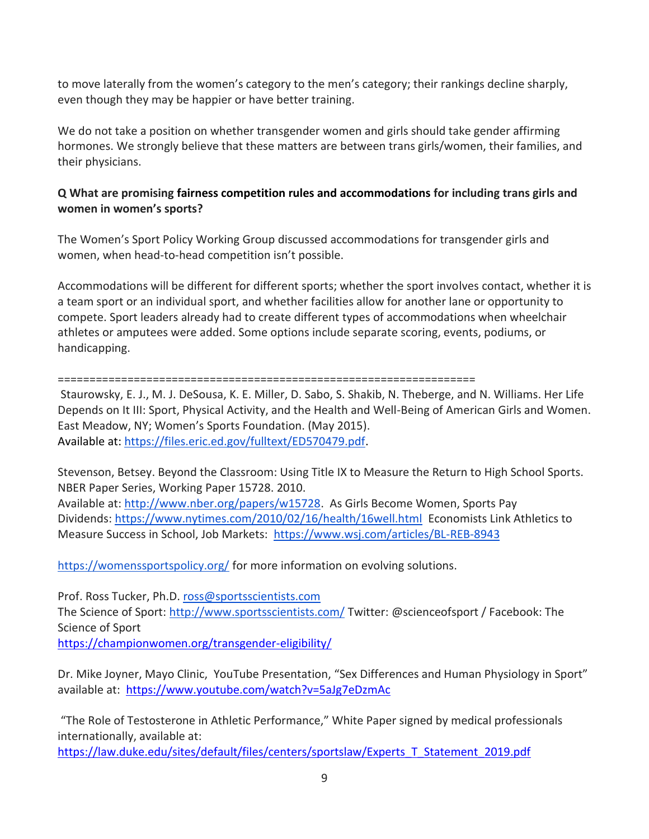to move laterally from the women's category to the men's category; their rankings decline sharply, even though they may be happier or have better training.

We do not take a position on whether transgender women and girls should take gender affirming hormones. We strongly believe that these matters are between trans girls/women, their families, and their physicians.

## **Q What are promising fairness competition rules and accommodations for including trans girls and women in women's sports?**

The Women's Sport Policy Working Group discussed accommodations for transgender girls and women, when head-to-head competition isn't possible.

Accommodations will be different for different sports; whether the sport involves contact, whether it is a team sport or an individual sport, and whether facilities allow for another lane or opportunity to compete. Sport leaders already had to create different types of accommodations when wheelchair athletes or amputees were added. Some options include separate scoring, events, podiums, or handicapping.

==================================================================

Staurowsky, E. J., M. J. DeSousa, K. E. Miller, D. Sabo, S. Shakib, N. Theberge, and N. Williams. Her Life Depends on It III: Sport, Physical Activity, and the Health and Well-Being of American Girls and Women. East Meadow, NY; Women's Sports Foundation. (May 2015). Available at: [https://files.eric.ed.gov/fulltext/ED570479.pdf.](https://files.eric.ed.gov/fulltext/ED570479.pdf)

Stevenson, Betsey. Beyond the Classroom: Using Title IX to Measure the Return to High School Sports. NBER Paper Series, Working Paper 15728. 2010.

Available at: [http://www.nber.org/papers/w15728.](http://www.nber.org/papers/w15728) As Girls Become Women, Sports Pay Dividends: <https://www.nytimes.com/2010/02/16/health/16well.html> Economists Link Athletics to Measure Success in School, Job Markets: <https://www.wsj.com/articles/BL-REB-8943>

<https://womenssportspolicy.org/> for more information on evolving solutions.

Prof. Ross Tucker, Ph.D. [ross@sportsscientists.com](mailto:ross@sportsscientists.com) The Science of Sport: <http://www.sportsscientists.com/> Twitter: @scienceofsport / Facebook: The Science of Sport <https://championwomen.org/transgender-eligibility/>

Dr. Mike Joyner, Mayo Clinic, YouTube Presentation, "Sex Differences and Human Physiology in Sport" available at: <https://www.youtube.com/watch?v=5aJg7eDzmAc>

"The Role of Testosterone in Athletic Performance," White Paper signed by medical professionals internationally, available at:

[https://law.duke.edu/sites/default/files/centers/sportslaw/Experts\\_T\\_Statement\\_2019.pdf](https://law.duke.edu/sites/default/files/centers/sportslaw/Experts_T_Statement_2019.pdf)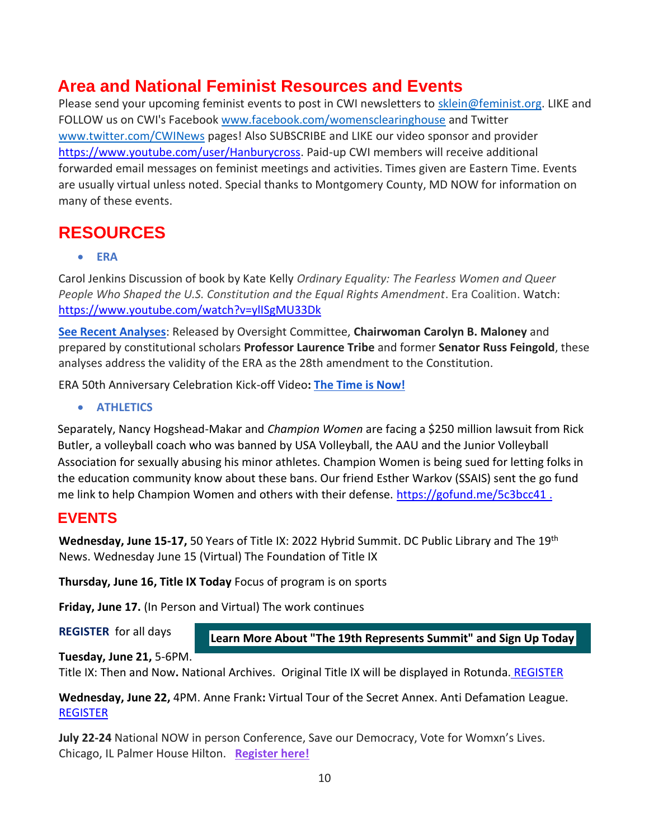# **Area and National Feminist Resources and Events**

Please send your upcoming feminist events to post in CWI newsletters to sklein@feminist.org. LIKE and FOLLOW us on CWI's Faceboo[k www.facebook.com/womensclearinghouse](http://www.facebook.com/womensclearinghouse) and Twitter [www.twitter.com/CWINews](http://www.twitter.com/CWINews) pages! Also SUBSCRIBE and LIKE our video sponsor and provider [https://www.youtube.com/user/Hanburycross.](https://www.youtube.com/user/Hanburycross) Paid-up CWI members will receive additional forwarded email messages on feminist meetings and activities. Times given are Eastern Time. Events are usually virtual unless noted. Special thanks to Montgomery County, MD NOW for information on many of these events.

# **RESOURCES**

• **ERA**

Carol Jenkins Discussion of book by Kate Kelly *Ordinary Equality: The Fearless Women and Queer People Who Shaped the U.S. Constitution and the Equal Rights Amendment*. Era Coalition. Watch: <https://www.youtube.com/watch?v=ylISgMU33Dk>

**[See Recent Analyses](https://oversight.house.gov/news/press-releases/on-50th-anniversary-of-congress-passing-the-era-chairwoman-maloney-presses)**: Released by Oversight Committee, **Chairwoman Carolyn B. Maloney** and prepared by constitutional scholars **Professor Laurence Tribe** and former **Senator Russ Feingold**, these analyses address the validity of the ERA as the 28th amendment to the Constitution.

ERA 50th Anniversary Celebration Kick-off Video**: [The Time is Now!](https://www.youtube.com/watch?v=y6NkGcUQajs)**

• **ATHLETICS** 

Separately, Nancy Hogshead-Makar and *Champion Women* are facing a \$250 million lawsuit from Rick Butler, a volleyball coach who was banned by USA Volleyball, the AAU and the Junior Volleyball Association for sexually abusing his minor athletes. Champion Women is being sued for letting folks in the education community know about these bans. Our friend Esther Warkov (SSAIS) sent the go fund me link to help Champion Women and others with their defense.<https://gofund.me/5c3bcc41> .

# **EVENTS**

**Wednesday, June 15-17,** 50 Years of Title IX: 2022 Hybrid Summit. DC Public Library and The 19th News. Wednesday June 15 (Virtual) The Foundation of Title IX

**Thursday, June 16, Title IX Today** Focus of program is on sports

**Friday, June 17.** (In Person and Virtual) The work continues

**[REGISTER](https://19thnews.org/2022-summit/?register)** for all days

**[Learn More About "The 19th Represents Summit" and Sign Up Today](https://lnks.gd/l/eyJhbGciOiJIUzI1NiJ9.eyJidWxsZXRpbl9saW5rX2lkIjoxMDMsInVyaSI6ImJwMjpjbGljayIsImJ1bGxldGluX2lkIjoiMjAyMjA2MTMuNTkzMjc0MjEiLCJ1cmwiOiJodHRwczovLzE5dGhuZXdzLm9yZy8yMDIyLXN1bW1pdC8ifQ.mbvS4MoA9aC3IiE0YncwNvGOrYywoDPlroLTq0yOjTY/s/2133790378/br/132892690894-l)**

**Tuesday, June 21,** 5-6PM.

Title IX: Then and Now**.** National Archives. Original Title IX will be displayed in Rotunda. [REGISTER](https://archivesfoundation.org/event/title-ix-then-and-now/?goal=0_267af3e1d5-b9ce20d325-54340553&mc_cid=b9ce20d325&mc_eid=871266d046)

**Wednesday, June 22,** 4PM. Anne Frank**:** Virtual Tour of the Secret Annex. Anti Defamation League. [REGISTER](https://info.echoesandreflections.org/anne-frank-house)

**July 22-24** National NOW in person Conference, Save our Democracy, Vote for Womxn's Lives. Chicago, IL Palmer House Hilton. **[Register here!](https://mcmdnow.us14.list-manage.com/track/click?u=35ceb79226267ca6ac34cf375&id=0234dab9c4&e=4f6ae98a02)**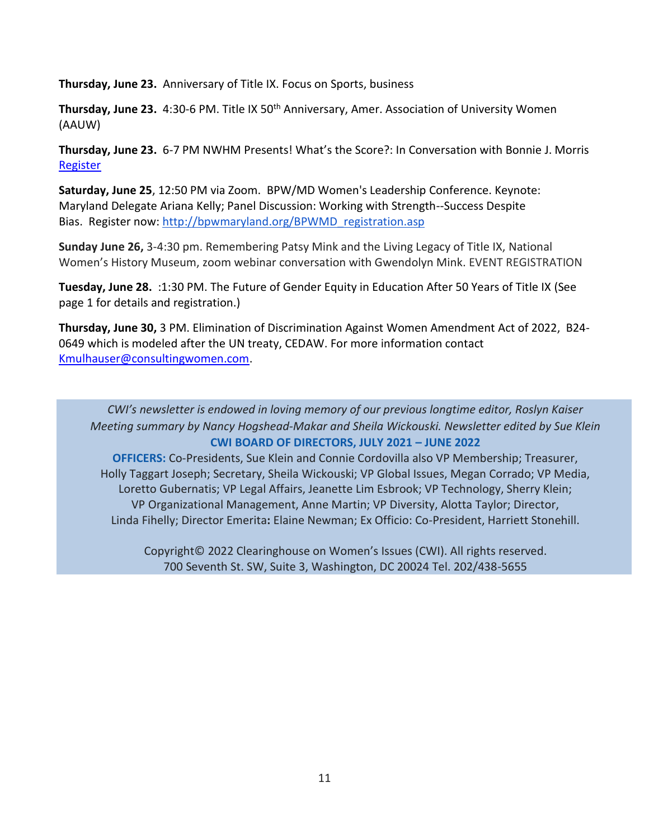**Thursday, June 23.** Anniversary of Title IX. Focus on Sports, business

Thursday, June 23. 4:30-6 PM. Title IX 50<sup>th</sup> Anniversary, Amer. Association of University Women (AAUW)

**Thursday, June 23.** 6-7 PM NWHM Presents! What's the Score?: In Conversation with Bonnie J. Morris [Register](https://www.eventbrite.com/e/nwhm-presents-whats-the-score-in-conversation-with-bonnie-j-morris-tickets-355146712377)

**Saturday, June 25**, 12:50 PM via Zoom. BPW/MD Women's Leadership Conference. Keynote: Maryland Delegate Ariana Kelly; Panel Discussion: Working with Strength--Success Despite Bias. Register now: [http://bpwmaryland.org/BPWMD\\_registration.asp](https://nam12.safelinks.protection.outlook.com/?url=http%3A%2F%2Fbpwmaryland.org%2FBPWMD_registration.asp&data=05%7C01%7C%7Cde1b83a1be564b045dca08da4c0a408a%7C84df9e7fe9f640afb435aaaaaaaaaaaa%7C1%7C0%7C637905904339921791%7CUnknown%7CTWFpbGZsb3d8eyJWIjoiMC4wLjAwMDAiLCJQIjoiV2luMzIiLCJBTiI6Ik1haWwiLCJXVCI6Mn0%3D%7C3000%7C%7C%7C&sdata=wFd3T%2BH6aMwJUpD21cl4esMXdcCCxYShqD55K3VNkos%3D&reserved=0)

**Sunday June 26,** 3-4:30 pm. Remembering Patsy Mink and the Living Legacy of Title IX, National Women's History Museum, zoom webinar conversation with Gwendolyn Mink. EVENT REGISTRATION

**Tuesday, June 28.** :1:30 PM. The Future of Gender Equity in Education After 50 Years of Title IX (See page 1 for details and registration.)

**Thursday, June 30,** 3 PM. Elimination of Discrimination Against Women Amendment Act of 2022, B24- 0649 which is modeled after the UN treaty, CEDAW. For more information contact [Kmulhauser@consultingwomen.com.](mailto:Kmulhauser@consultingwomen.com)

*CWI's newsletter is endowed in loving memory of our previous longtime editor, Roslyn Kaiser Meeting summary by Nancy Hogshead-Makar and Sheila Wickouski. Newsletter edited by Sue Klein* **CWI BOARD OF DIRECTORS, JULY 2021 – JUNE 2022** 

**OFFICERS:** Co-Presidents, Sue Klein and Connie Cordovilla also VP Membership; Treasurer, Holly Taggart Joseph; Secretary, Sheila Wickouski; VP Global Issues, Megan Corrado; VP Media, Loretto Gubernatis; VP Legal Affairs, Jeanette Lim Esbrook; VP Technology, Sherry Klein; VP Organizational Management, Anne Martin; VP Diversity, Alotta Taylor; Director, Linda Fihelly; Director Emerita**:** Elaine Newman; Ex Officio: Co-President, Harriett Stonehill.

Copyright© 2022 Clearinghouse on Women's Issues (CWI). All rights reserved. 700 Seventh St. SW, Suite 3, Washington, DC 20024 Tel. 202/438-5655